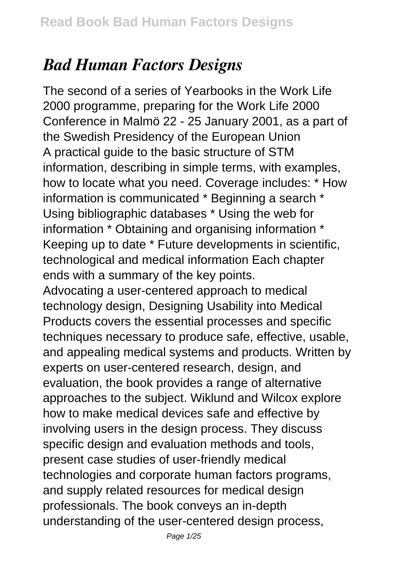## *Bad Human Factors Designs*

The second of a series of Yearbooks in the Work Life 2000 programme, preparing for the Work Life 2000 Conference in Malmö 22 - 25 January 2001, as a part of the Swedish Presidency of the European Union A practical guide to the basic structure of STM information, describing in simple terms, with examples, how to locate what you need. Coverage includes: \* How information is communicated \* Beginning a search \* Using bibliographic databases \* Using the web for information \* Obtaining and organising information \* Keeping up to date \* Future developments in scientific, technological and medical information Each chapter ends with a summary of the key points. Advocating a user-centered approach to medical technology design, Designing Usability into Medical Products covers the essential processes and specific techniques necessary to produce safe, effective, usable, and appealing medical systems and products. Written by experts on user-centered research, design, and evaluation, the book provides a range of alternative approaches to the subject. Wiklund and Wilcox explore how to make medical devices safe and effective by involving users in the design process. They discuss specific design and evaluation methods and tools, present case studies of user-friendly medical technologies and corporate human factors programs, and supply related resources for medical design professionals. The book conveys an in-depth understanding of the user-centered design process,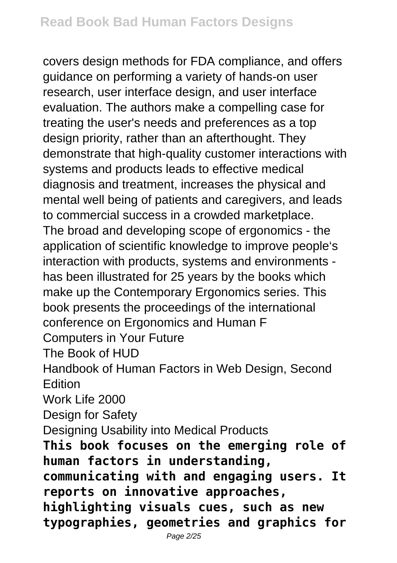covers design methods for FDA compliance, and offers guidance on performing a variety of hands-on user research, user interface design, and user interface evaluation. The authors make a compelling case for treating the user's needs and preferences as a top design priority, rather than an afterthought. They demonstrate that high-quality customer interactions with systems and products leads to effective medical diagnosis and treatment, increases the physical and mental well being of patients and caregivers, and leads to commercial success in a crowded marketplace. The broad and developing scope of ergonomics - the application of scientific knowledge to improve people's interaction with products, systems and environments has been illustrated for 25 years by the books which make up the Contemporary Ergonomics series. This book presents the proceedings of the international conference on Ergonomics and Human F Computers in Your Future The Book of HUD Handbook of Human Factors in Web Design, Second **Edition** Work Life 2000 Design for Safety Designing Usability into Medical Products **This book focuses on the emerging role of human factors in understanding, communicating with and engaging users. It reports on innovative approaches, highlighting visuals cues, such as new typographies, geometries and graphics for**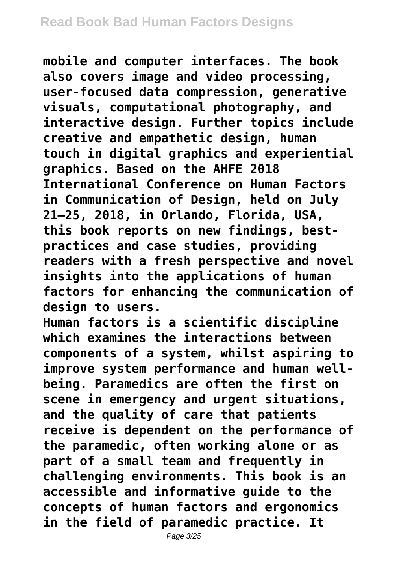**mobile and computer interfaces. The book also covers image and video processing, user-focused data compression, generative visuals, computational photography, and interactive design. Further topics include creative and empathetic design, human touch in digital graphics and experiential graphics. Based on the AHFE 2018 International Conference on Human Factors in Communication of Design, held on July 21–25, 2018, in Orlando, Florida, USA, this book reports on new findings, bestpractices and case studies, providing readers with a fresh perspective and novel insights into the applications of human factors for enhancing the communication of design to users.**

**Human factors is a scientific discipline which examines the interactions between components of a system, whilst aspiring to improve system performance and human wellbeing. Paramedics are often the first on scene in emergency and urgent situations, and the quality of care that patients receive is dependent on the performance of the paramedic, often working alone or as part of a small team and frequently in challenging environments. This book is an accessible and informative guide to the concepts of human factors and ergonomics in the field of paramedic practice. It**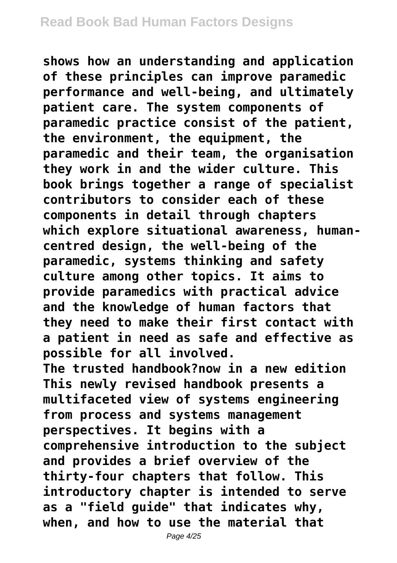**shows how an understanding and application of these principles can improve paramedic performance and well-being, and ultimately patient care. The system components of paramedic practice consist of the patient, the environment, the equipment, the paramedic and their team, the organisation they work in and the wider culture. This book brings together a range of specialist contributors to consider each of these components in detail through chapters which explore situational awareness, humancentred design, the well-being of the paramedic, systems thinking and safety culture among other topics. It aims to provide paramedics with practical advice and the knowledge of human factors that they need to make their first contact with a patient in need as safe and effective as possible for all involved. The trusted handbook?now in a new edition This newly revised handbook presents a multifaceted view of systems engineering from process and systems management perspectives. It begins with a comprehensive introduction to the subject and provides a brief overview of the thirty-four chapters that follow. This**

**introductory chapter is intended to serve as a "field guide" that indicates why, when, and how to use the material that**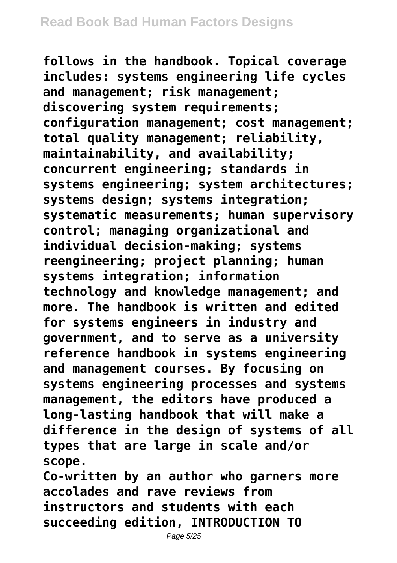**follows in the handbook. Topical coverage includes: systems engineering life cycles and management; risk management; discovering system requirements; configuration management; cost management; total quality management; reliability, maintainability, and availability; concurrent engineering; standards in systems engineering; system architectures; systems design; systems integration; systematic measurements; human supervisory control; managing organizational and individual decision-making; systems reengineering; project planning; human systems integration; information technology and knowledge management; and more. The handbook is written and edited for systems engineers in industry and government, and to serve as a university reference handbook in systems engineering and management courses. By focusing on systems engineering processes and systems management, the editors have produced a long-lasting handbook that will make a difference in the design of systems of all types that are large in scale and/or scope.**

**Co-written by an author who garners more accolades and rave reviews from instructors and students with each succeeding edition, INTRODUCTION TO**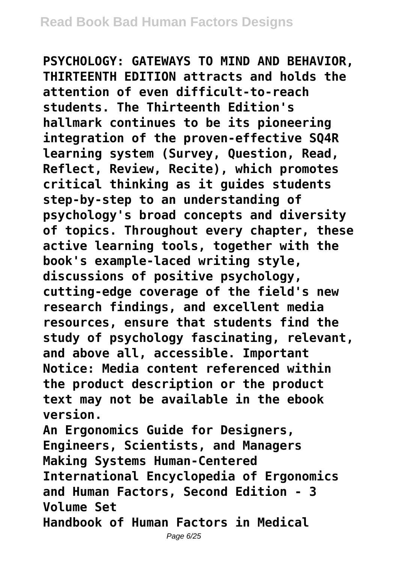**PSYCHOLOGY: GATEWAYS TO MIND AND BEHAVIOR, THIRTEENTH EDITION attracts and holds the attention of even difficult-to-reach students. The Thirteenth Edition's hallmark continues to be its pioneering integration of the proven-effective SQ4R learning system (Survey, Question, Read, Reflect, Review, Recite), which promotes critical thinking as it guides students step-by-step to an understanding of psychology's broad concepts and diversity of topics. Throughout every chapter, these active learning tools, together with the book's example-laced writing style, discussions of positive psychology, cutting-edge coverage of the field's new research findings, and excellent media resources, ensure that students find the study of psychology fascinating, relevant, and above all, accessible. Important Notice: Media content referenced within the product description or the product text may not be available in the ebook version. An Ergonomics Guide for Designers, Engineers, Scientists, and Managers Making Systems Human-Centered International Encyclopedia of Ergonomics**

**and Human Factors, Second Edition - 3 Volume Set**

**Handbook of Human Factors in Medical**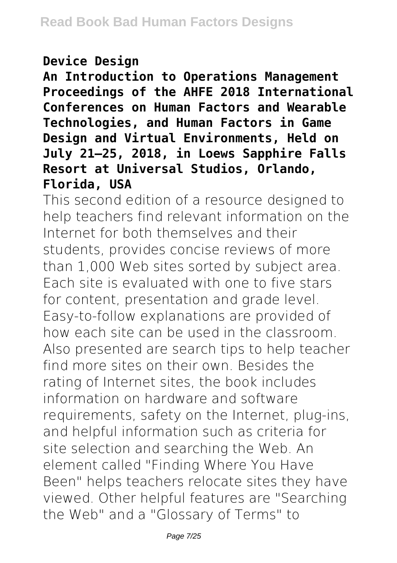## **Device Design**

**An Introduction to Operations Management Proceedings of the AHFE 2018 International Conferences on Human Factors and Wearable Technologies, and Human Factors in Game Design and Virtual Environments, Held on July 21–25, 2018, in Loews Sapphire Falls Resort at Universal Studios, Orlando, Florida, USA**

This second edition of a resource designed to help teachers find relevant information on the Internet for both themselves and their students, provides concise reviews of more than 1,000 Web sites sorted by subject area. Each site is evaluated with one to five stars for content, presentation and grade level. Easy-to-follow explanations are provided of how each site can be used in the classroom. Also presented are search tips to help teacher find more sites on their own. Besides the rating of Internet sites, the book includes information on hardware and software requirements, safety on the Internet, plug-ins, and helpful information such as criteria for site selection and searching the Web. An element called "Finding Where You Have Been" helps teachers relocate sites they have viewed. Other helpful features are "Searching the Web" and a "Glossary of Terms" to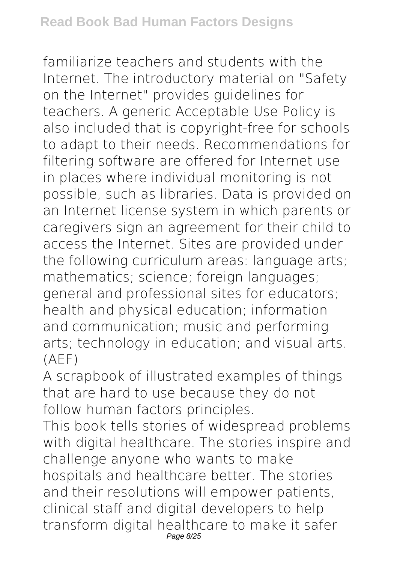familiarize teachers and students with the Internet. The introductory material on "Safety on the Internet" provides guidelines for teachers. A generic Acceptable Use Policy is also included that is copyright-free for schools to adapt to their needs. Recommendations for filtering software are offered for Internet use in places where individual monitoring is not possible, such as libraries. Data is provided on an Internet license system in which parents or caregivers sign an agreement for their child to access the Internet. Sites are provided under the following curriculum areas: language arts; mathematics; science; foreign languages; general and professional sites for educators; health and physical education; information and communication; music and performing arts; technology in education; and visual arts. (AEF)

A scrapbook of illustrated examples of things that are hard to use because they do not follow human factors principles.

This book tells stories of widespread problems with digital healthcare. The stories inspire and challenge anyone who wants to make hospitals and healthcare better. The stories and their resolutions will empower patients, clinical staff and digital developers to help transform digital healthcare to make it safer Page 8/25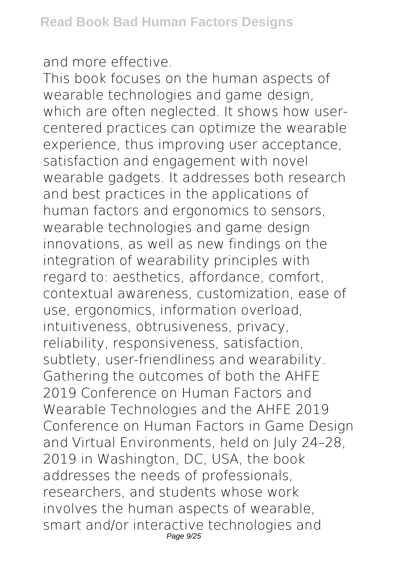and more effective.

This book focuses on the human aspects of wearable technologies and game design, which are often neglected. It shows how usercentered practices can optimize the wearable experience, thus improving user acceptance, satisfaction and engagement with novel wearable gadgets. It addresses both research and best practices in the applications of human factors and ergonomics to sensors, wearable technologies and game design innovations, as well as new findings on the integration of wearability principles with regard to: aesthetics, affordance, comfort, contextual awareness, customization, ease of use, ergonomics, information overload, intuitiveness, obtrusiveness, privacy, reliability, responsiveness, satisfaction, subtlety, user-friendliness and wearability. Gathering the outcomes of both the AHFE 2019 Conference on Human Factors and Wearable Technologies and the AHFE 2019 Conference on Human Factors in Game Design and Virtual Environments, held on July 24–28, 2019 in Washington, DC, USA, the book addresses the needs of professionals, researchers, and students whose work involves the human aspects of wearable, smart and/or interactive technologies and Page 9/25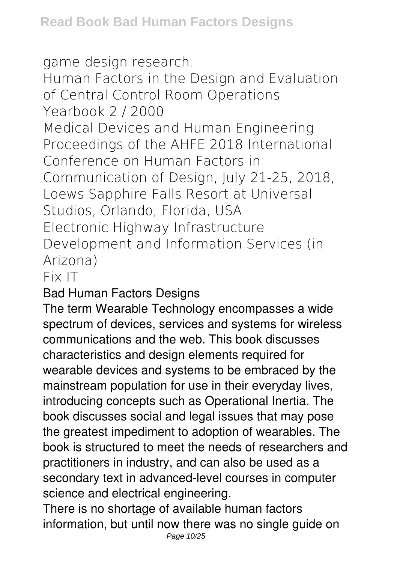game design research.

Human Factors in the Design and Evaluation of Central Control Room Operations Yearbook 2 / 2000

Medical Devices and Human Engineering Proceedings of the AHFE 2018 International Conference on Human Factors in Communication of Design, July 21-25, 2018, Loews Sapphire Falls Resort at Universal Studios, Orlando, Florida, USA Electronic Highway Infrastructure Development and Information Services (in Arizona)

## Fix IT

Bad Human Factors Designs

The term Wearable Technology encompasses a wide spectrum of devices, services and systems for wireless communications and the web. This book discusses characteristics and design elements required for wearable devices and systems to be embraced by the mainstream population for use in their everyday lives, introducing concepts such as Operational Inertia. The book discusses social and legal issues that may pose the greatest impediment to adoption of wearables. The book is structured to meet the needs of researchers and practitioners in industry, and can also be used as a secondary text in advanced-level courses in computer science and electrical engineering.

There is no shortage of available human factors information, but until now there was no single guide on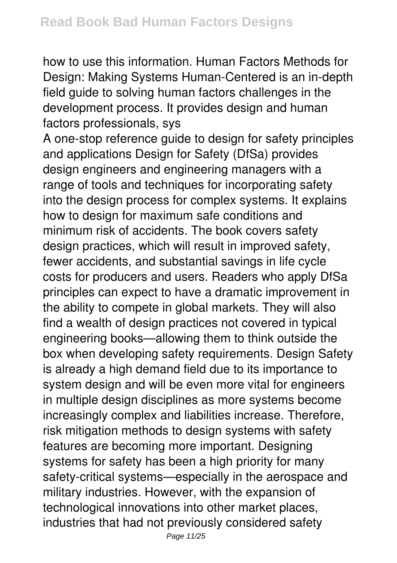how to use this information. Human Factors Methods for Design: Making Systems Human-Centered is an in-depth field guide to solving human factors challenges in the development process. It provides design and human factors professionals, sys

A one-stop reference guide to design for safety principles and applications Design for Safety (DfSa) provides design engineers and engineering managers with a range of tools and techniques for incorporating safety into the design process for complex systems. It explains how to design for maximum safe conditions and minimum risk of accidents. The book covers safety design practices, which will result in improved safety, fewer accidents, and substantial savings in life cycle costs for producers and users. Readers who apply DfSa principles can expect to have a dramatic improvement in the ability to compete in global markets. They will also find a wealth of design practices not covered in typical engineering books—allowing them to think outside the box when developing safety requirements. Design Safety is already a high demand field due to its importance to system design and will be even more vital for engineers in multiple design disciplines as more systems become increasingly complex and liabilities increase. Therefore, risk mitigation methods to design systems with safety features are becoming more important. Designing systems for safety has been a high priority for many safety-critical systems—especially in the aerospace and military industries. However, with the expansion of technological innovations into other market places, industries that had not previously considered safety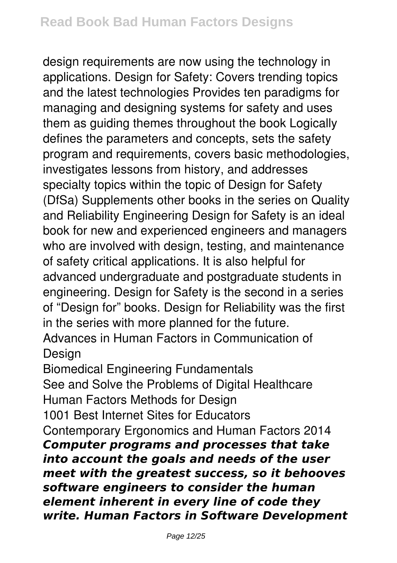design requirements are now using the technology in applications. Design for Safety: Covers trending topics and the latest technologies Provides ten paradigms for managing and designing systems for safety and uses them as guiding themes throughout the book Logically defines the parameters and concepts, sets the safety program and requirements, covers basic methodologies, investigates lessons from history, and addresses specialty topics within the topic of Design for Safety (DfSa) Supplements other books in the series on Quality and Reliability Engineering Design for Safety is an ideal book for new and experienced engineers and managers who are involved with design, testing, and maintenance of safety critical applications. It is also helpful for advanced undergraduate and postgraduate students in engineering. Design for Safety is the second in a series of "Design for" books. Design for Reliability was the first in the series with more planned for the future. Advances in Human Factors in Communication of

Design

Biomedical Engineering Fundamentals

See and Solve the Problems of Digital Healthcare Human Factors Methods for Design

1001 Best Internet Sites for Educators

Contemporary Ergonomics and Human Factors 2014 *Computer programs and processes that take into account the goals and needs of the user meet with the greatest success, so it behooves software engineers to consider the human element inherent in every line of code they write. Human Factors in Software Development*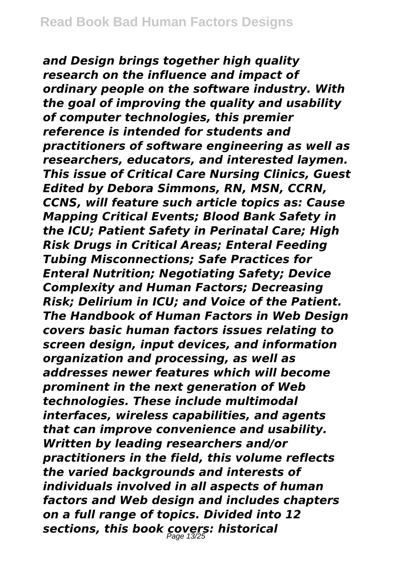*and Design brings together high quality research on the influence and impact of ordinary people on the software industry. With the goal of improving the quality and usability of computer technologies, this premier reference is intended for students and practitioners of software engineering as well as researchers, educators, and interested laymen. This issue of Critical Care Nursing Clinics, Guest Edited by Debora Simmons, RN, MSN, CCRN, CCNS, will feature such article topics as: Cause Mapping Critical Events; Blood Bank Safety in the ICU; Patient Safety in Perinatal Care; High Risk Drugs in Critical Areas; Enteral Feeding Tubing Misconnections; Safe Practices for Enteral Nutrition; Negotiating Safety; Device Complexity and Human Factors; Decreasing Risk; Delirium in ICU; and Voice of the Patient. The Handbook of Human Factors in Web Design covers basic human factors issues relating to screen design, input devices, and information organization and processing, as well as addresses newer features which will become prominent in the next generation of Web technologies. These include multimodal interfaces, wireless capabilities, and agents that can improve convenience and usability. Written by leading researchers and/or practitioners in the field, this volume reflects the varied backgrounds and interests of individuals involved in all aspects of human factors and Web design and includes chapters on a full range of topics. Divided into 12 sections, this book covers: historical* Page 13/25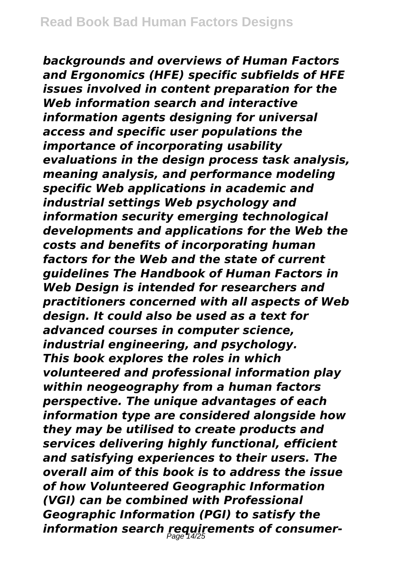*backgrounds and overviews of Human Factors and Ergonomics (HFE) specific subfields of HFE issues involved in content preparation for the Web information search and interactive information agents designing for universal access and specific user populations the importance of incorporating usability evaluations in the design process task analysis, meaning analysis, and performance modeling specific Web applications in academic and industrial settings Web psychology and information security emerging technological developments and applications for the Web the costs and benefits of incorporating human factors for the Web and the state of current guidelines The Handbook of Human Factors in Web Design is intended for researchers and practitioners concerned with all aspects of Web design. It could also be used as a text for advanced courses in computer science, industrial engineering, and psychology. This book explores the roles in which volunteered and professional information play within neogeography from a human factors perspective. The unique advantages of each information type are considered alongside how they may be utilised to create products and services delivering highly functional, efficient and satisfying experiences to their users. The overall aim of this book is to address the issue of how Volunteered Geographic Information (VGI) can be combined with Professional Geographic Information (PGI) to satisfy the information search requirements of consumer-*Page 14/25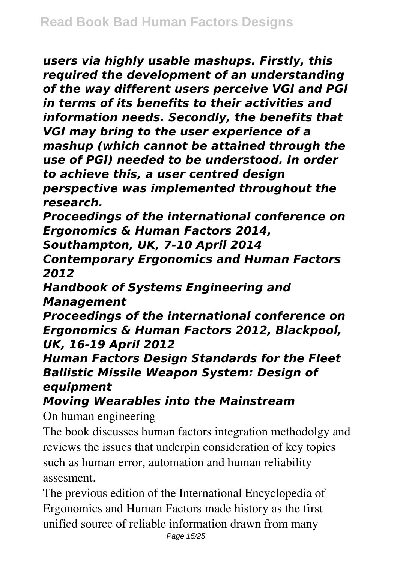*users via highly usable mashups. Firstly, this required the development of an understanding of the way different users perceive VGI and PGI in terms of its benefits to their activities and information needs. Secondly, the benefits that VGI may bring to the user experience of a mashup (which cannot be attained through the use of PGI) needed to be understood. In order to achieve this, a user centred design perspective was implemented throughout the research.*

*Proceedings of the international conference on Ergonomics & Human Factors 2014,*

*Southampton, UK, 7-10 April 2014*

*Contemporary Ergonomics and Human Factors 2012*

*Handbook of Systems Engineering and Management*

*Proceedings of the international conference on Ergonomics & Human Factors 2012, Blackpool, UK, 16-19 April 2012*

*Human Factors Design Standards for the Fleet Ballistic Missile Weapon System: Design of equipment*

*Moving Wearables into the Mainstream*

On human engineering

The book discusses human factors integration methodolgy and reviews the issues that underpin consideration of key topics such as human error, automation and human reliability assesment.

The previous edition of the International Encyclopedia of Ergonomics and Human Factors made history as the first unified source of reliable information drawn from many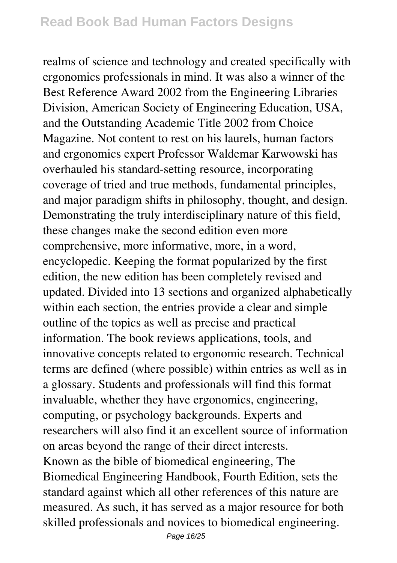realms of science and technology and created specifically with ergonomics professionals in mind. It was also a winner of the Best Reference Award 2002 from the Engineering Libraries Division, American Society of Engineering Education, USA, and the Outstanding Academic Title 2002 from Choice Magazine. Not content to rest on his laurels, human factors and ergonomics expert Professor Waldemar Karwowski has overhauled his standard-setting resource, incorporating coverage of tried and true methods, fundamental principles, and major paradigm shifts in philosophy, thought, and design. Demonstrating the truly interdisciplinary nature of this field, these changes make the second edition even more comprehensive, more informative, more, in a word, encyclopedic. Keeping the format popularized by the first edition, the new edition has been completely revised and updated. Divided into 13 sections and organized alphabetically within each section, the entries provide a clear and simple outline of the topics as well as precise and practical information. The book reviews applications, tools, and innovative concepts related to ergonomic research. Technical terms are defined (where possible) within entries as well as in a glossary. Students and professionals will find this format invaluable, whether they have ergonomics, engineering, computing, or psychology backgrounds. Experts and researchers will also find it an excellent source of information on areas beyond the range of their direct interests. Known as the bible of biomedical engineering, The Biomedical Engineering Handbook, Fourth Edition, sets the standard against which all other references of this nature are measured. As such, it has served as a major resource for both skilled professionals and novices to biomedical engineering.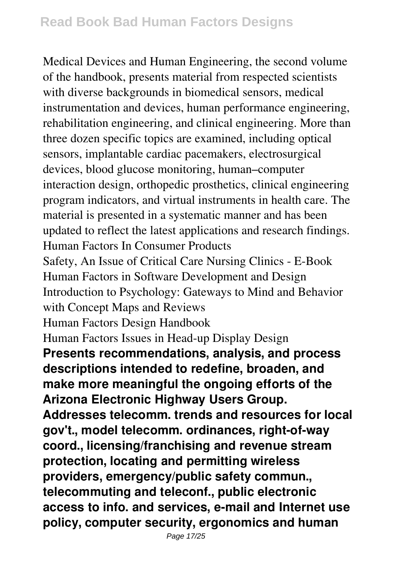Medical Devices and Human Engineering, the second volume of the handbook, presents material from respected scientists with diverse backgrounds in biomedical sensors, medical instrumentation and devices, human performance engineering, rehabilitation engineering, and clinical engineering. More than three dozen specific topics are examined, including optical sensors, implantable cardiac pacemakers, electrosurgical devices, blood glucose monitoring, human–computer interaction design, orthopedic prosthetics, clinical engineering program indicators, and virtual instruments in health care. The material is presented in a systematic manner and has been updated to reflect the latest applications and research findings. Human Factors In Consumer Products Safety, An Issue of Critical Care Nursing Clinics - E-Book Human Factors in Software Development and Design Introduction to Psychology: Gateways to Mind and Behavior with Concept Maps and Reviews Human Factors Design Handbook Human Factors Issues in Head-up Display Design **Presents recommendations, analysis, and process descriptions intended to redefine, broaden, and make more meaningful the ongoing efforts of the Arizona Electronic Highway Users Group. Addresses telecomm. trends and resources for local gov't., model telecomm. ordinances, right-of-way coord., licensing/franchising and revenue stream protection, locating and permitting wireless providers, emergency/public safety commun., telecommuting and teleconf., public electronic access to info. and services, e-mail and Internet use policy, computer security, ergonomics and human**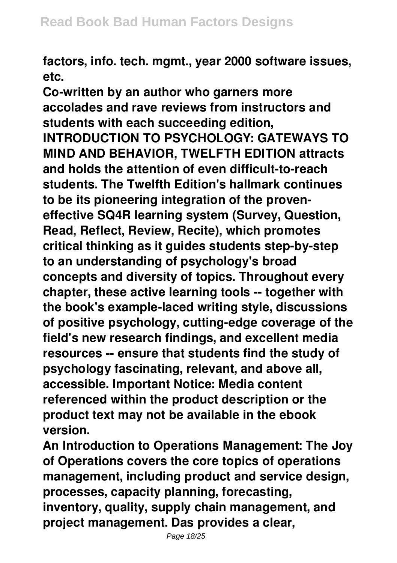**factors, info. tech. mgmt., year 2000 software issues, etc.**

**Co-written by an author who garners more accolades and rave reviews from instructors and students with each succeeding edition, INTRODUCTION TO PSYCHOLOGY: GATEWAYS TO MIND AND BEHAVIOR, TWELFTH EDITION attracts and holds the attention of even difficult-to-reach students. The Twelfth Edition's hallmark continues to be its pioneering integration of the proveneffective SQ4R learning system (Survey, Question, Read, Reflect, Review, Recite), which promotes critical thinking as it guides students step-by-step to an understanding of psychology's broad concepts and diversity of topics. Throughout every chapter, these active learning tools -- together with the book's example-laced writing style, discussions of positive psychology, cutting-edge coverage of the field's new research findings, and excellent media resources -- ensure that students find the study of psychology fascinating, relevant, and above all, accessible. Important Notice: Media content referenced within the product description or the product text may not be available in the ebook version.**

**An Introduction to Operations Management: The Joy of Operations covers the core topics of operations management, including product and service design, processes, capacity planning, forecasting, inventory, quality, supply chain management, and project management. Das provides a clear,**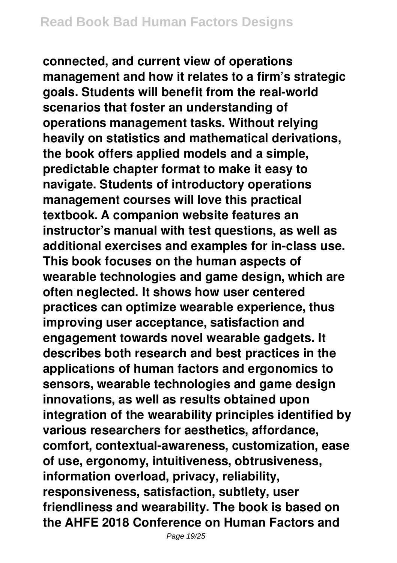**connected, and current view of operations management and how it relates to a firm's strategic goals. Students will benefit from the real-world scenarios that foster an understanding of operations management tasks. Without relying heavily on statistics and mathematical derivations, the book offers applied models and a simple, predictable chapter format to make it easy to navigate. Students of introductory operations management courses will love this practical textbook. A companion website features an instructor's manual with test questions, as well as additional exercises and examples for in-class use. This book focuses on the human aspects of wearable technologies and game design, which are often neglected. It shows how user centered practices can optimize wearable experience, thus improving user acceptance, satisfaction and engagement towards novel wearable gadgets. It describes both research and best practices in the applications of human factors and ergonomics to sensors, wearable technologies and game design innovations, as well as results obtained upon integration of the wearability principles identified by various researchers for aesthetics, affordance, comfort, contextual-awareness, customization, ease of use, ergonomy, intuitiveness, obtrusiveness, information overload, privacy, reliability, responsiveness, satisfaction, subtlety, user friendliness and wearability. The book is based on the AHFE 2018 Conference on Human Factors and**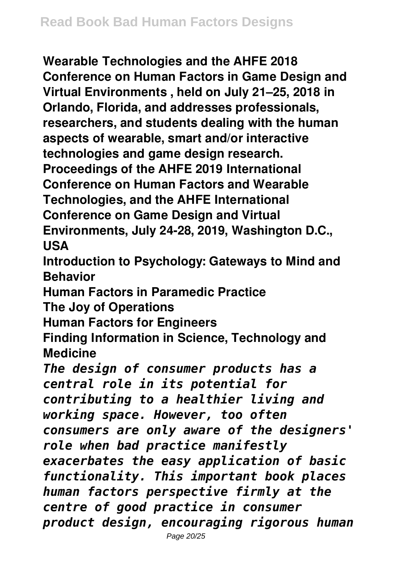**Wearable Technologies and the AHFE 2018 Conference on Human Factors in Game Design and Virtual Environments , held on July 21–25, 2018 in Orlando, Florida, and addresses professionals, researchers, and students dealing with the human aspects of wearable, smart and/or interactive technologies and game design research. Proceedings of the AHFE 2019 International Conference on Human Factors and Wearable Technologies, and the AHFE International Conference on Game Design and Virtual Environments, July 24-28, 2019, Washington D.C., USA**

**Introduction to Psychology: Gateways to Mind and Behavior**

**Human Factors in Paramedic Practice**

**The Joy of Operations**

**Human Factors for Engineers**

**Finding Information in Science, Technology and Medicine**

*The design of consumer products has a central role in its potential for contributing to a healthier living and working space. However, too often consumers are only aware of the designers' role when bad practice manifestly exacerbates the easy application of basic functionality. This important book places human factors perspective firmly at the centre of good practice in consumer product design, encouraging rigorous human*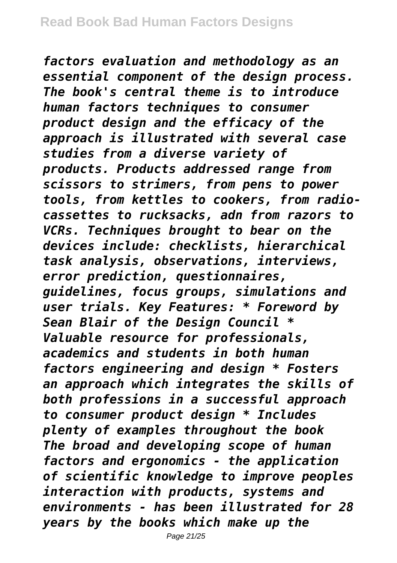*factors evaluation and methodology as an essential component of the design process. The book's central theme is to introduce human factors techniques to consumer product design and the efficacy of the approach is illustrated with several case studies from a diverse variety of products. Products addressed range from scissors to strimers, from pens to power tools, from kettles to cookers, from radiocassettes to rucksacks, adn from razors to VCRs. Techniques brought to bear on the devices include: checklists, hierarchical task analysis, observations, interviews, error prediction, questionnaires, guidelines, focus groups, simulations and user trials. Key Features: \* Foreword by Sean Blair of the Design Council \* Valuable resource for professionals, academics and students in both human factors engineering and design \* Fosters an approach which integrates the skills of both professions in a successful approach to consumer product design \* Includes plenty of examples throughout the book The broad and developing scope of human factors and ergonomics - the application of scientific knowledge to improve peoples interaction with products, systems and environments - has been illustrated for 28 years by the books which make up the*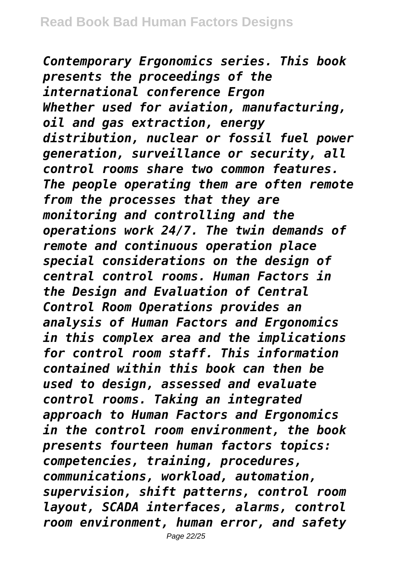*Contemporary Ergonomics series. This book presents the proceedings of the international conference Ergon Whether used for aviation, manufacturing, oil and gas extraction, energy distribution, nuclear or fossil fuel power generation, surveillance or security, all control rooms share two common features. The people operating them are often remote from the processes that they are monitoring and controlling and the operations work 24/7. The twin demands of remote and continuous operation place special considerations on the design of central control rooms. Human Factors in the Design and Evaluation of Central Control Room Operations provides an analysis of Human Factors and Ergonomics in this complex area and the implications for control room staff. This information contained within this book can then be used to design, assessed and evaluate control rooms. Taking an integrated approach to Human Factors and Ergonomics in the control room environment, the book presents fourteen human factors topics: competencies, training, procedures, communications, workload, automation, supervision, shift patterns, control room layout, SCADA interfaces, alarms, control room environment, human error, and safety*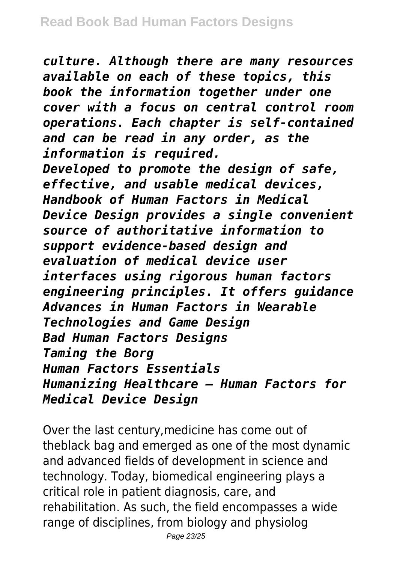*culture. Although there are many resources available on each of these topics, this book the information together under one cover with a focus on central control room operations. Each chapter is self-contained and can be read in any order, as the information is required. Developed to promote the design of safe, effective, and usable medical devices, Handbook of Human Factors in Medical Device Design provides a single convenient source of authoritative information to support evidence-based design and evaluation of medical device user interfaces using rigorous human factors engineering principles. It offers guidance Advances in Human Factors in Wearable Technologies and Game Design Bad Human Factors Designs Taming the Borg Human Factors Essentials Humanizing Healthcare – Human Factors for Medical Device Design*

Over the last century,medicine has come out of theblack bag and emerged as one of the most dynamic and advanced fields of development in science and technology. Today, biomedical engineering plays a critical role in patient diagnosis, care, and rehabilitation. As such, the field encompasses a wide range of disciplines, from biology and physiolog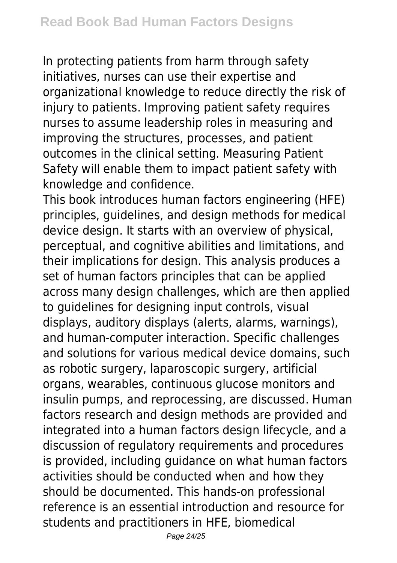In protecting patients from harm through safety initiatives, nurses can use their expertise and organizational knowledge to reduce directly the risk of injury to patients. Improving patient safety requires nurses to assume leadership roles in measuring and improving the structures, processes, and patient outcomes in the clinical setting. Measuring Patient Safety will enable them to impact patient safety with knowledge and confidence.

This book introduces human factors engineering (HFE) principles, guidelines, and design methods for medical device design. It starts with an overview of physical, perceptual, and cognitive abilities and limitations, and their implications for design. This analysis produces a set of human factors principles that can be applied across many design challenges, which are then applied to guidelines for designing input controls, visual displays, auditory displays (alerts, alarms, warnings), and human-computer interaction. Specific challenges and solutions for various medical device domains, such as robotic surgery, laparoscopic surgery, artificial organs, wearables, continuous glucose monitors and insulin pumps, and reprocessing, are discussed. Human factors research and design methods are provided and integrated into a human factors design lifecycle, and a discussion of regulatory requirements and procedures is provided, including guidance on what human factors activities should be conducted when and how they should be documented. This hands-on professional reference is an essential introduction and resource for students and practitioners in HFE, biomedical